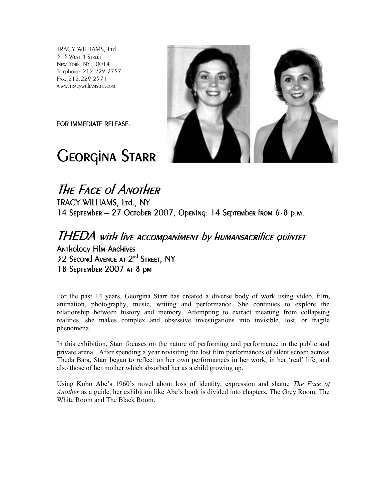TRACY WILLIAMS, Ltd 313 West 4 Street New York, NY 10014 Telephone: 212.229.2757 Fax: 212.229.2571 www.tracywilliamsltd.com

FOR IMMEDIATE RELEASE:

# Georgina Starr



## The Face of Another TRACY WILLIAMS, Ltd., NY 14 September – 27 October 2007, Opening: 14 September from 6-8 p.m.

### THEDA with live accompaniment by humansacrifice quintet Anthology Film Archives 32 Second Avenue AT 2<sup>nd</sup> STREET, NY 18 September 2007 at 8 pm

For the past 14 years, Georgina Starr has created a diverse body of work using video, film, animation, photography, music, writing and performance. She continues to explore the relationship between history and memory. Attempting to extract meaning from collapsing realities, she makes complex and obsessive investigations into invisible, lost, or fragile phenomena.

In this exhibition, Starr focuses on the nature of performing and performance in the public and private arena. After spending a year revisiting the lost film performances of silent screen actress Theda Bara, Starr began to reflect on her own performances in her work, in her 'real' life, and also those of her mother which absorbed her as a child growing up.

Using Kobo Abe's 1960's novel about loss of identity, expression and shame *The Face of Another* as a guide, her exhibition like Abe's book is divided into chapters, The Grey Room, The White Room and The Black Room.